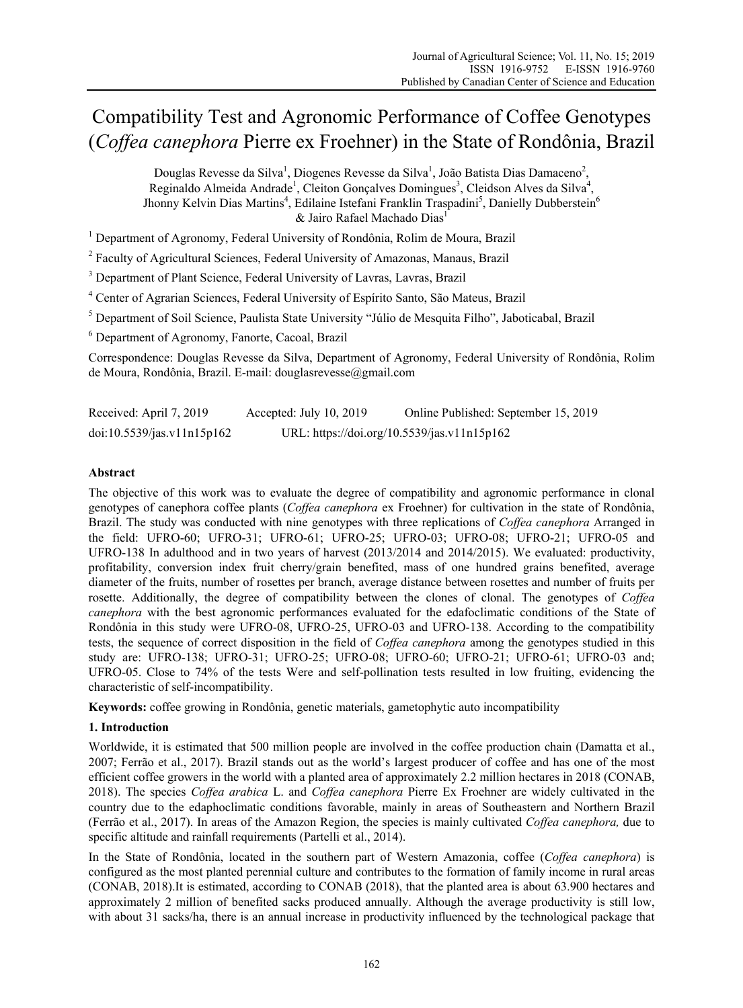# Compatibility Test and Agronomic Performance of Coffee Genotypes (*Coffea canephora* Pierre ex Froehner) in the State of Rondônia, Brazil

Douglas Revesse da Silva<sup>1</sup>, Diogenes Revesse da Silva<sup>1</sup>, João Batista Dias Damaceno<sup>2</sup>, Reginaldo Almeida Andrade<sup>1</sup>, Cleiton Gonçalves Domingues<sup>3</sup>, Cleidson Alves da Silva<sup>4</sup>, Jhonny Kelvin Dias Martins<sup>4</sup>, Edilaine Istefani Franklin Traspadini<sup>5</sup>, Danielly Dubberstein<sup>6</sup>  $&$  Jairo Rafael Machado Dias<sup>1</sup>

<sup>1</sup> Department of Agronomy, Federal University of Rondônia, Rolim de Moura, Brazil

<sup>2</sup> Faculty of Agricultural Sciences, Federal University of Amazonas, Manaus, Brazil

<sup>3</sup> Department of Plant Science, Federal University of Lavras, Lavras, Brazil

4 Center of Agrarian Sciences, Federal University of Espírito Santo, São Mateus, Brazil

<sup>5</sup> Department of Soil Science, Paulista State University "Júlio de Mesquita Filho", Jaboticabal, Brazil

6 Department of Agronomy, Fanorte, Cacoal, Brazil

Correspondence: Douglas Revesse da Silva, Department of Agronomy, Federal University of Rondônia, Rolim de Moura, Rondônia, Brazil. E-mail: douglasrevesse@gmail.com

| Received: April 7, 2019    | Accepted: July 10, 2019 | Online Published: September 15, 2019        |
|----------------------------|-------------------------|---------------------------------------------|
| doi:10.5539/jas.v11n15p162 |                         | URL: https://doi.org/10.5539/jas.v11n15p162 |

# **Abstract**

The objective of this work was to evaluate the degree of compatibility and agronomic performance in clonal genotypes of canephora coffee plants (*Coffea canephora* ex Froehner) for cultivation in the state of Rondônia, Brazil. The study was conducted with nine genotypes with three replications of *Coffea canephora* Arranged in the field: UFRO-60; UFRO-31; UFRO-61; UFRO-25; UFRO-03; UFRO-08; UFRO-21; UFRO-05 and UFRO-138 In adulthood and in two years of harvest (2013/2014 and 2014/2015). We evaluated: productivity, profitability, conversion index fruit cherry/grain benefited, mass of one hundred grains benefited, average diameter of the fruits, number of rosettes per branch, average distance between rosettes and number of fruits per rosette. Additionally, the degree of compatibility between the clones of clonal. The genotypes of *Coffea canephora* with the best agronomic performances evaluated for the edafoclimatic conditions of the State of Rondônia in this study were UFRO-08, UFRO-25, UFRO-03 and UFRO-138. According to the compatibility tests, the sequence of correct disposition in the field of *Coffea canephora* among the genotypes studied in this study are: UFRO-138; UFRO-31; UFRO-25; UFRO-08; UFRO-60; UFRO-21; UFRO-61; UFRO-03 and; UFRO-05. Close to 74% of the tests Were and self-pollination tests resulted in low fruiting, evidencing the characteristic of self-incompatibility.

**Keywords:** coffee growing in Rondônia, genetic materials, gametophytic auto incompatibility

## **1. Introduction**

Worldwide, it is estimated that 500 million people are involved in the coffee production chain (Damatta et al., 2007; Ferrão et al., 2017). Brazil stands out as the world's largest producer of coffee and has one of the most efficient coffee growers in the world with a planted area of approximately 2.2 million hectares in 2018 (CONAB, 2018). The species *Coffea arabica* L. and *Coffea canephora* Pierre Ex Froehner are widely cultivated in the country due to the edaphoclimatic conditions favorable, mainly in areas of Southeastern and Northern Brazil (Ferrão et al., 2017). In areas of the Amazon Region, the species is mainly cultivated *Coffea canephora,* due to specific altitude and rainfall requirements (Partelli et al., 2014).

In the State of Rondônia, located in the southern part of Western Amazonia, coffee (*Coffea canephora*) is configured as the most planted perennial culture and contributes to the formation of family income in rural areas (CONAB, 2018).It is estimated, according to CONAB (2018), that the planted area is about 63.900 hectares and approximately 2 million of benefited sacks produced annually. Although the average productivity is still low, with about 31 sacks/ha, there is an annual increase in productivity influenced by the technological package that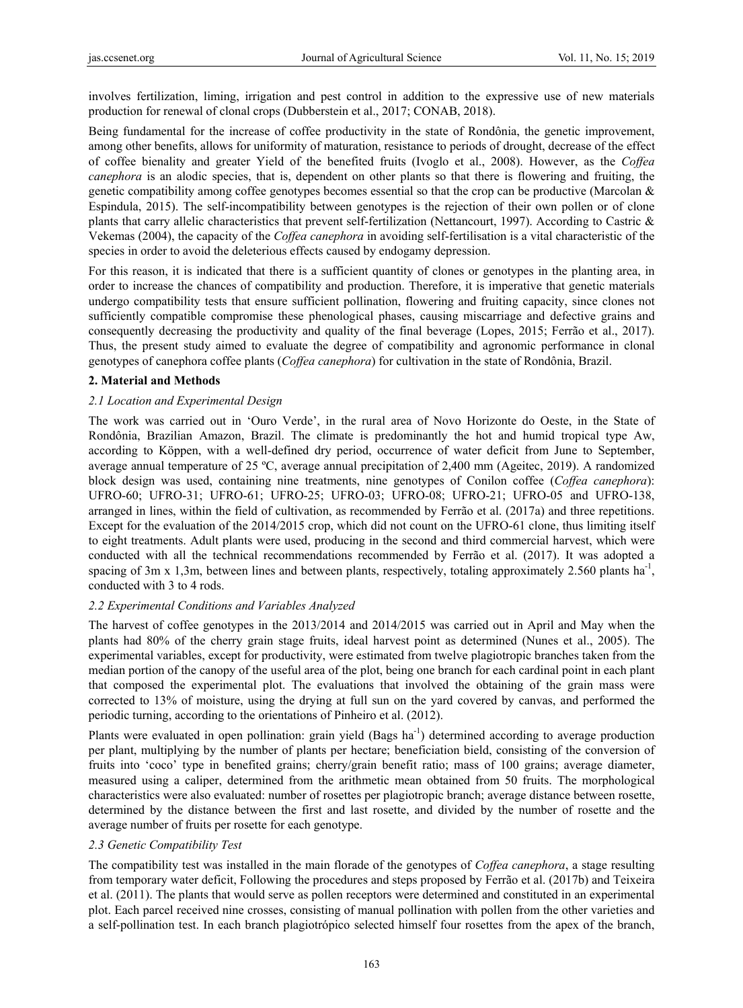involves fertilization, liming, irrigation and pest control in addition to the expressive use of new materials production for renewal of clonal crops (Dubberstein et al., 2017; CONAB, 2018).

Being fundamental for the increase of coffee productivity in the state of Rondônia, the genetic improvement, among other benefits, allows for uniformity of maturation, resistance to periods of drought, decrease of the effect of coffee bienality and greater Yield of the benefited fruits (Ivoglo et al., 2008). However, as the *Coffea canephora* is an alodic species, that is, dependent on other plants so that there is flowering and fruiting, the genetic compatibility among coffee genotypes becomes essential so that the crop can be productive (Marcolan & Espindula, 2015). The self-incompatibility between genotypes is the rejection of their own pollen or of clone plants that carry allelic characteristics that prevent self-fertilization (Nettancourt, 1997). According to Castric & Vekemas (2004), the capacity of the *Coffea canephora* in avoiding self-fertilisation is a vital characteristic of the species in order to avoid the deleterious effects caused by endogamy depression.

For this reason, it is indicated that there is a sufficient quantity of clones or genotypes in the planting area, in order to increase the chances of compatibility and production. Therefore, it is imperative that genetic materials undergo compatibility tests that ensure sufficient pollination, flowering and fruiting capacity, since clones not sufficiently compatible compromise these phenological phases, causing miscarriage and defective grains and consequently decreasing the productivity and quality of the final beverage (Lopes, 2015; Ferrão et al., 2017). Thus, the present study aimed to evaluate the degree of compatibility and agronomic performance in clonal genotypes of canephora coffee plants (*Coffea canephora*) for cultivation in the state of Rondônia, Brazil.

## **2. Material and Methods**

## *2.1 Location and Experimental Design*

The work was carried out in 'Ouro Verde', in the rural area of Novo Horizonte do Oeste, in the State of Rondônia, Brazilian Amazon, Brazil. The climate is predominantly the hot and humid tropical type Aw, according to Köppen, with a well-defined dry period, occurrence of water deficit from June to September, average annual temperature of 25 ºC, average annual precipitation of 2,400 mm (Ageitec, 2019). A randomized block design was used, containing nine treatments, nine genotypes of Conilon coffee (*Coffea canephora*): UFRO-60; UFRO-31; UFRO-61; UFRO-25; UFRO-03; UFRO-08; UFRO-21; UFRO-05 and UFRO-138, arranged in lines, within the field of cultivation, as recommended by Ferrão et al. (2017a) and three repetitions. Except for the evaluation of the 2014/2015 crop, which did not count on the UFRO-61 clone, thus limiting itself to eight treatments. Adult plants were used, producing in the second and third commercial harvest, which were conducted with all the technical recommendations recommended by Ferrão et al. (2017). It was adopted a spacing of 3m x 1,3m, between lines and between plants, respectively, totaling approximately 2.560 plants ha<sup>-1</sup>, conducted with 3 to 4 rods.

# *2.2 Experimental Conditions and Variables Analyzed*

The harvest of coffee genotypes in the 2013/2014 and 2014/2015 was carried out in April and May when the plants had 80% of the cherry grain stage fruits, ideal harvest point as determined (Nunes et al., 2005). The experimental variables, except for productivity, were estimated from twelve plagiotropic branches taken from the median portion of the canopy of the useful area of the plot, being one branch for each cardinal point in each plant that composed the experimental plot. The evaluations that involved the obtaining of the grain mass were corrected to 13% of moisture, using the drying at full sun on the yard covered by canvas, and performed the periodic turning, according to the orientations of Pinheiro et al. (2012).

Plants were evaluated in open pollination: grain yield (Bags ha<sup>-1</sup>) determined according to average production per plant, multiplying by the number of plants per hectare; beneficiation bield, consisting of the conversion of fruits into 'coco' type in benefited grains; cherry/grain benefit ratio; mass of 100 grains; average diameter, measured using a caliper, determined from the arithmetic mean obtained from 50 fruits. The morphological characteristics were also evaluated: number of rosettes per plagiotropic branch; average distance between rosette, determined by the distance between the first and last rosette, and divided by the number of rosette and the average number of fruits per rosette for each genotype.

# *2.3 Genetic Compatibility Test*

The compatibility test was installed in the main florade of the genotypes of *Coffea canephora*, a stage resulting from temporary water deficit, Following the procedures and steps proposed by Ferrão et al. (2017b) and Teixeira et al. (2011). The plants that would serve as pollen receptors were determined and constituted in an experimental plot. Each parcel received nine crosses, consisting of manual pollination with pollen from the other varieties and a self-pollination test. In each branch plagiotrópico selected himself four rosettes from the apex of the branch,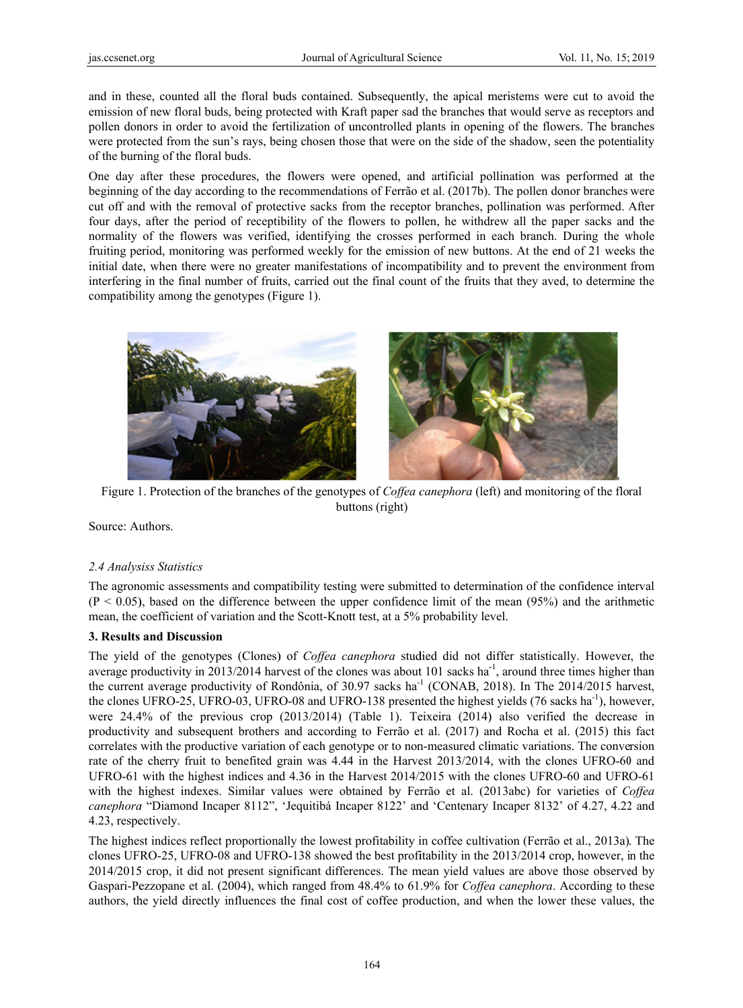and in these, counted all the floral buds contained. Subsequently, the apical meristems were cut to avoid the emission of new floral buds, being protected with Kraft paper sad the branches that would serve as receptors and pollen donors in order to avoid the fertilization of uncontrolled plants in opening of the flowers. The branches were protected from the sun's rays, being chosen those that were on the side of the shadow, seen the potentiality of the burning of the floral buds.

One day after these procedures, the flowers were opened, and artificial pollination was performed at the beginning of the day according to the recommendations of Ferrão et al. (2017b). The pollen donor branches were cut off and with the removal of protective sacks from the receptor branches, pollination was performed. After four days, after the period of receptibility of the flowers to pollen, he withdrew all the paper sacks and the normality of the flowers was verified, identifying the crosses performed in each branch. During the whole fruiting period, monitoring was performed weekly for the emission of new buttons. At the end of 21 weeks the initial date, when there were no greater manifestations of incompatibility and to prevent the environment from interfering in the final number of fruits, carried out the final count of the fruits that they aved, to determine the compatibility among the genotypes (Figure 1).



Figure 1. Protection of the branches of the genotypes of *Coffea canephora* (left) and monitoring of the floral buttons (right)

Source: Authors.

#### 2.4 Analysiss Statistics

The agronomic assessments and compatibility testing were submitted to determination of the confidence interval  $(P < 0.05)$ , based on the difference between the upper confidence limit of the mean (95%) and the arithmetic mean, the coefficient of variation and the Scott-Knott test, at a 5% probability level.

#### 3. Results and Discussion

The yield of the genotypes (Clones) of *Coffea canephora* studied did not differ statistically. However, the average productivity in 2013/2014 harvest of the clones was about 101 sacks ha<sup>-1</sup>, around three times higher than the current average productivity of Rondônia, of 30.97 sacks ha<sup>-1</sup> (CONAB, 2018). In The 2014/2015 harvest, the clones UFRO-25, UFRO-03, UFRO-08 and UFRO-138 presented the highest yields (76 sacks ha<sup>-1</sup>), however, were  $24.4\%$  of the previous crop (2013/2014) (Table 1). Teixeira (2014) also verified the decrease in productivity and subsequent brothers and according to Ferrão et al. (2017) and Rocha et al. (2015) this fact correlates with the productive variation of each genotype or to non-measured climatic variations. The conversion rate of the cherry fruit to benefited grain was 4.44 in the Harvest 2013/2014, with the clones UFRO-60 and UFRO-61 with the highest indices and 4.36 in the Harvest 2014/2015 with the clones UFRO-60 and UFRO-61 with the highest indexes. Similar values were obtained by Ferrão et al. (2013abc) for varieties of Coffea canephora "Diamond Incaper 8112", 'Jequitibá Incaper 8122' and 'Centenary Incaper 8132' of 4.27, 4.22 and 4.23, respectively.

The highest indices reflect proportionally the lowest profitability in coffee cultivation (Ferrão et al., 2013a). The clones UFRO-25, UFRO-08 and UFRO-138 showed the best profitability in the 2013/2014 crop, however, in the 2014/2015 crop, it did not present significant differences. The mean yield values are above those observed by Gaspari-Pezzopane et al. (2004), which ranged from 48.4% to 61.9% for *Coffea canephora*. According to these authors, the yield directly influences the final cost of coffee production, and when the lower these values, the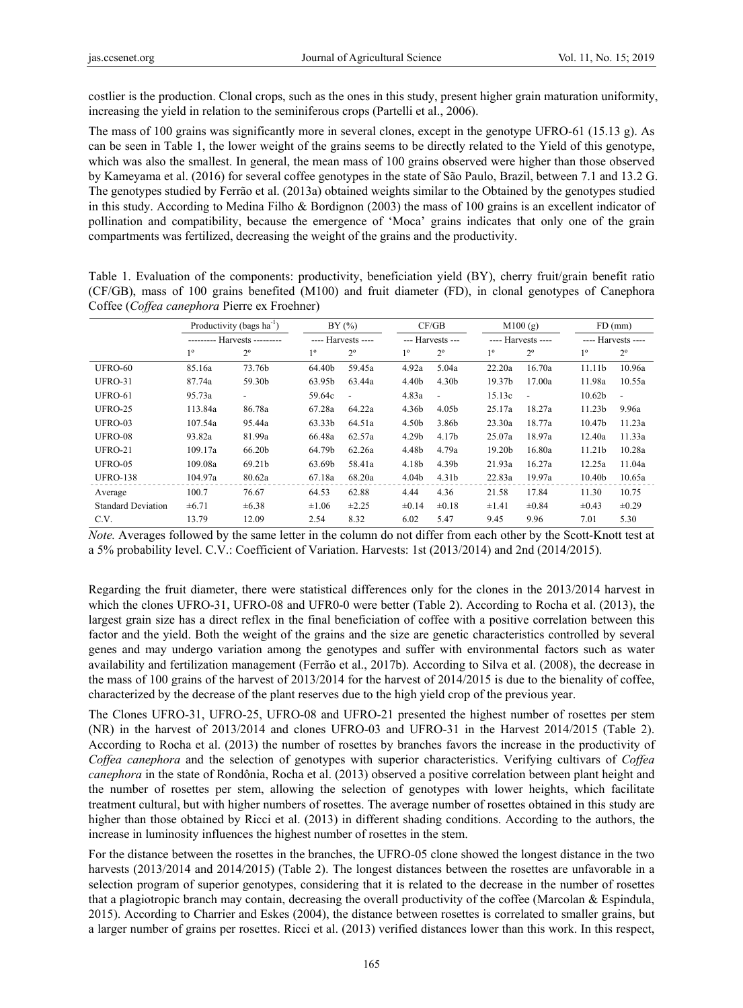costlier is the production. Clonal crops, such as the ones in this study, present higher grain maturation uniformity, increasing the yield in relation to the seminiferous crops (Partelli et al., 2006).

The mass of 100 grains was significantly more in several clones, except in the genotype UFRO-61 (15.13 g). As can be seen in Table 1, the lower weight of the grains seems to be directly related to the Yield of this genotype, which was also the smallest. In general, the mean mass of 100 grains observed were higher than those observed by Kameyama et al. (2016) for several coffee genotypes in the state of São Paulo, Brazil, between 7.1 and 13.2 G. The genotypes studied by Ferrão et al. (2013a) obtained weights similar to the Obtained by the genotypes studied in this study. According to Medina Filho & Bordignon (2003) the mass of 100 grains is an excellent indicator of pollination and compatibility, because the emergence of 'Moca' grains indicates that only one of the grain compartments was fertilized, decreasing the weight of the grains and the productivity.

Table 1. Evaluation of the components: productivity, beneficiation yield (BY), cherry fruit/grain benefit ratio (CF/GB), mass of 100 grains benefited (M100) and fruit diameter (FD), in clonal genotypes of Canephora Coffee (*Coffea canephora* Pierre ex Froehner)

|                           | Productivity (bags ha <sup>-1</sup> ) |                              | BY(%)              |                          | CF/GB            |                   | M100(g)            |                          | $FD$ (mm)          |                          |
|---------------------------|---------------------------------------|------------------------------|--------------------|--------------------------|------------------|-------------------|--------------------|--------------------------|--------------------|--------------------------|
|                           |                                       | --------- Harvests --------- | ---- Harvests ---- |                          | --- Harvests --- |                   | ---- Harvests ---- |                          | ---- Harvests ---- |                          |
|                           | $1^{\circ}$                           | $2^{\circ}$                  | $1^{\circ}$        | $2^{\circ}$              | $1^{\circ}$      | $2^{\circ}$       | $1^{\circ}$        | $2^{\circ}$              | $1^{\circ}$        | $2^{\circ}$              |
| UFRO-60                   | 85.16a                                | 73.76b                       | 64.40b             | 59.45a                   | 4.92a            | 5.04a             | 22.20a             | 16.70a                   | 11.11 <sub>b</sub> | 10.96a                   |
| UFRO-31                   | 87.74a                                | 59.30b                       | 63.95b             | 63.44a                   | 4.40b            | 4.30 <sub>b</sub> | 19.37b             | 17.00a                   | 11.98a             | 10.55a                   |
| UFRO-61                   | 95.73a                                | $\overline{\phantom{a}}$     | 59.64c             | $\overline{\phantom{a}}$ | 4.83a            | $\overline{a}$    | 15.13c             | $\overline{\phantom{a}}$ | 10.62 <sub>b</sub> | $\overline{\phantom{a}}$ |
| UFRO-25                   | 113.84a                               | 86.78a                       | 67.28a             | 64.22a                   | 4.36b            | 4.05b             | 25.17a             | 18.27a                   | 11.23 <sub>b</sub> | 9.96a                    |
| UFRO-03                   | 107.54a                               | 95.44a                       | 63.33b             | 64.51a                   | 4.50b            | 3.86b             | 23.30a             | 18.77a                   | 10.47 <sub>b</sub> | 11.23a                   |
| UFRO-08                   | 93.82a                                | 81.99a                       | 66.48a             | 62.57a                   | 4.29b            | 4.17b             | 25.07a             | 18.97a                   | 12.40a             | 11.33a                   |
| UFRO-21                   | 109.17a                               | 66.20b                       | 64.79b             | 62.26a                   | 4.48b            | 4.79a             | 19.20 <sub>b</sub> | 16.80a                   | 11.21 <sub>b</sub> | 10.28a                   |
| UFRO-05                   | 109.08a                               | 69.21b                       | 63.69b             | 58.41a                   | 4.18b            | 4.39b             | 21.93a             | 16.27a                   | 12.25a             | 11.04a                   |
| <b>UFRO-138</b>           | 104.97a                               | 80.62a                       | 67.18a             | 68.20a                   | 4.04b            | 4.31 <sub>b</sub> | 22.83a             | 19.97a                   | 10.40 <sub>b</sub> | 10.65a                   |
| Average                   | 100.7                                 | 76.67                        | 64.53              | 62.88                    | 4.44             | 4.36              | 21.58              | 17.84                    | 11.30              | 10.75                    |
| <b>Standard Deviation</b> | ±6.71                                 | $\pm 6.38$                   | $\pm 1.06$         | ±2.25                    | $\pm 0.14$       | $\pm 0.18$        | $\pm 1.41$         | $\pm 0.84$               | $\pm 0.43$         | $\pm 0.29$               |
| C.V.                      | 13.79                                 | 12.09                        | 2.54               | 8.32                     | 6.02             | 5.47              | 9.45               | 9.96                     | 7.01               | 5.30                     |

*Note.* Averages followed by the same letter in the column do not differ from each other by the Scott-Knott test at a 5% probability level. C.V.: Coefficient of Variation. Harvests: 1st (2013/2014) and 2nd (2014/2015).

Regarding the fruit diameter, there were statistical differences only for the clones in the 2013/2014 harvest in which the clones UFRO-31, UFRO-08 and UFR0-0 were better (Table 2). According to Rocha et al. (2013), the largest grain size has a direct reflex in the final beneficiation of coffee with a positive correlation between this factor and the yield. Both the weight of the grains and the size are genetic characteristics controlled by several genes and may undergo variation among the genotypes and suffer with environmental factors such as water availability and fertilization management (Ferrão et al., 2017b). According to Silva et al. (2008), the decrease in the mass of 100 grains of the harvest of 2013/2014 for the harvest of 2014/2015 is due to the bienality of coffee, characterized by the decrease of the plant reserves due to the high yield crop of the previous year.

The Clones UFRO-31, UFRO-25, UFRO-08 and UFRO-21 presented the highest number of rosettes per stem (NR) in the harvest of 2013/2014 and clones UFRO-03 and UFRO-31 in the Harvest 2014/2015 (Table 2). According to Rocha et al. (2013) the number of rosettes by branches favors the increase in the productivity of *Coffea canephora* and the selection of genotypes with superior characteristics. Verifying cultivars of *Coffea canephora* in the state of Rondônia, Rocha et al. (2013) observed a positive correlation between plant height and the number of rosettes per stem, allowing the selection of genotypes with lower heights, which facilitate treatment cultural, but with higher numbers of rosettes. The average number of rosettes obtained in this study are higher than those obtained by Ricci et al. (2013) in different shading conditions. According to the authors, the increase in luminosity influences the highest number of rosettes in the stem.

For the distance between the rosettes in the branches, the UFRO-05 clone showed the longest distance in the two harvests (2013/2014 and 2014/2015) (Table 2). The longest distances between the rosettes are unfavorable in a selection program of superior genotypes, considering that it is related to the decrease in the number of rosettes that a plagiotropic branch may contain, decreasing the overall productivity of the coffee (Marcolan & Espindula, 2015). According to Charrier and Eskes (2004), the distance between rosettes is correlated to smaller grains, but a larger number of grains per rosettes. Ricci et al. (2013) verified distances lower than this work. In this respect,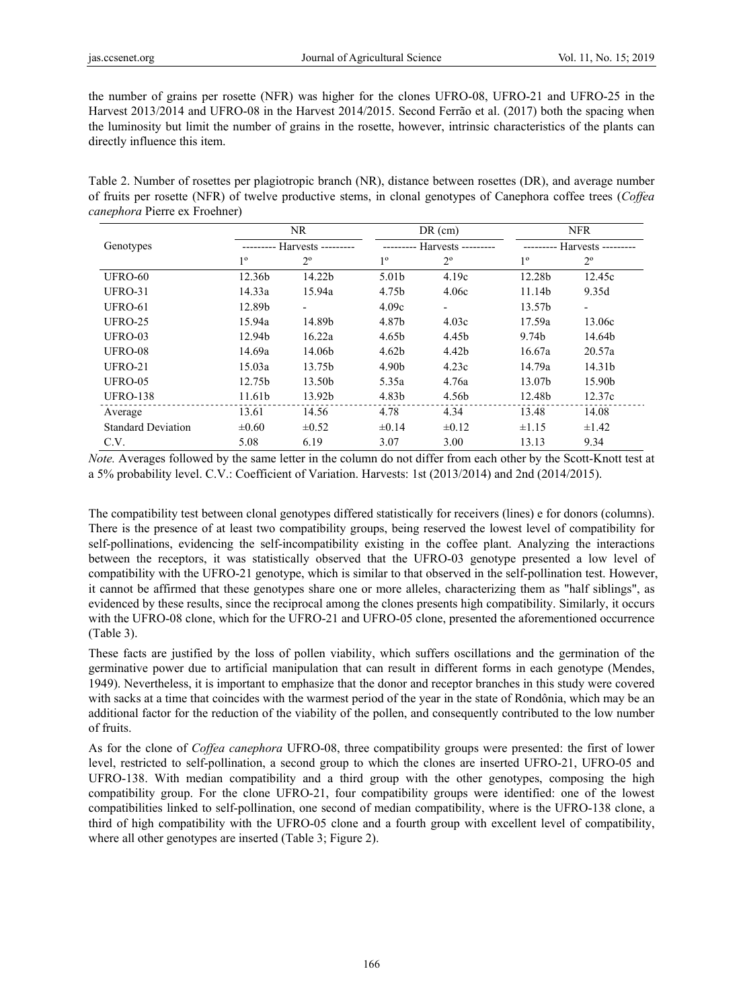the number of grains per rosette (NFR) was higher for the clones UFRO-08, UFRO-21 and UFRO-25 in the Harvest 2013/2014 and UFRO-08 in the Harvest 2014/2015. Second Ferrão et al. (2017) both the spacing when the luminosity but limit the number of grains in the rosette, however, intrinsic characteristics of the plants can directly influence this item.

| Table 2. Number of rosettes per plagiotropic branch (NR), distance between rosettes (DR), and average number  |
|---------------------------------------------------------------------------------------------------------------|
| of fruits per rosette (NFR) of twelve productive stems, in clonal genotypes of Canephora coffee trees (Coffea |
| <i>canephora</i> Pierre ex Froehner)                                                                          |

|                           |             | NR.                      |                   | $DR$ (cm)                | <b>NFR</b><br>Harvests --------- |                          |  |
|---------------------------|-------------|--------------------------|-------------------|--------------------------|----------------------------------|--------------------------|--|
| Genotypes                 |             | Harvests ---------       |                   | Harvests ---------       |                                  |                          |  |
|                           | $1^{\circ}$ | $2^{\circ}$              | $1^{\circ}$       | $2^{\circ}$              | $1^{\circ}$                      | $2^{\circ}$              |  |
| UFRO-60                   | 12.36b      | 14.22b                   | 5.01 <sub>b</sub> | 4.19c                    | 12.28b                           | 12.45c                   |  |
| <b>UFRO-31</b>            | 14.33a      | 15.94a                   | 4.75b             | 4.06c                    | 11.14b                           | 9.35d                    |  |
| UFRO-61                   | 12.89b      | $\overline{\phantom{a}}$ | 4.09c             | $\overline{\phantom{0}}$ | 13.57b                           | $\overline{\phantom{a}}$ |  |
| UFRO-25                   | 15.94a      | 14.89b                   | 4.87b             | 4.03c                    | 17.59a                           | 13.06c                   |  |
| UFRO-03                   | 12.94b      | 16.22a                   | 4.65b             | 4.45b                    | 9.74b                            | 14.64b                   |  |
| UFRO-08                   | 14.69a      | 14.06b                   | 4.62 <sub>b</sub> | 4.42 <sub>b</sub>        | 16.67a                           | 20.57a                   |  |
| UFRO-21                   | 15.03a      | 13.75b                   | 4.90b             | 4.23c                    | 14.79a                           | 14.31b                   |  |
| <b>UFRO-05</b>            | 12.75b      | 13.50b                   | 5.35a             | 4.76a                    | 13.07b                           | 15.90b                   |  |
| <b>UFRO-138</b>           | 11.61b      | 13.92b                   | 4.83b             | 4.56b                    | 12.48b                           | 12.37c                   |  |
| Average                   | 13.61       | 14.56                    | 4.78              | 4.34                     | 13.48                            | 14.08                    |  |
| <b>Standard Deviation</b> | $\pm 0.60$  | $\pm 0.52$               | $\pm 0.14$        | $\pm 0.12$               | $\pm 1.15$                       | $\pm 1.42$               |  |
| C.V.                      | 5.08        | 6.19                     | 3.07              | 3.00                     | 13.13                            | 9.34                     |  |

*Note.* Averages followed by the same letter in the column do not differ from each other by the Scott-Knott test at a 5% probability level. C.V.: Coefficient of Variation. Harvests: 1st (2013/2014) and 2nd (2014/2015).

The compatibility test between clonal genotypes differed statistically for receivers (lines) e for donors (columns). There is the presence of at least two compatibility groups, being reserved the lowest level of compatibility for self-pollinations, evidencing the self-incompatibility existing in the coffee plant. Analyzing the interactions between the receptors, it was statistically observed that the UFRO-03 genotype presented a low level of compatibility with the UFRO-21 genotype, which is similar to that observed in the self-pollination test. However, it cannot be affirmed that these genotypes share one or more alleles, characterizing them as "half siblings", as evidenced by these results, since the reciprocal among the clones presents high compatibility. Similarly, it occurs with the UFRO-08 clone, which for the UFRO-21 and UFRO-05 clone, presented the aforementioned occurrence (Table 3).

These facts are justified by the loss of pollen viability, which suffers oscillations and the germination of the germinative power due to artificial manipulation that can result in different forms in each genotype (Mendes, 1949). Nevertheless, it is important to emphasize that the donor and receptor branches in this study were covered with sacks at a time that coincides with the warmest period of the year in the state of Rondônia, which may be an additional factor for the reduction of the viability of the pollen, and consequently contributed to the low number of fruits.

As for the clone of *Coffea canephora* UFRO-08, three compatibility groups were presented: the first of lower level, restricted to self-pollination, a second group to which the clones are inserted UFRO-21, UFRO-05 and UFRO-138. With median compatibility and a third group with the other genotypes, composing the high compatibility group. For the clone UFRO-21, four compatibility groups were identified: one of the lowest compatibilities linked to self-pollination, one second of median compatibility, where is the UFRO-138 clone, a third of high compatibility with the UFRO-05 clone and a fourth group with excellent level of compatibility, where all other genotypes are inserted (Table 3; Figure 2).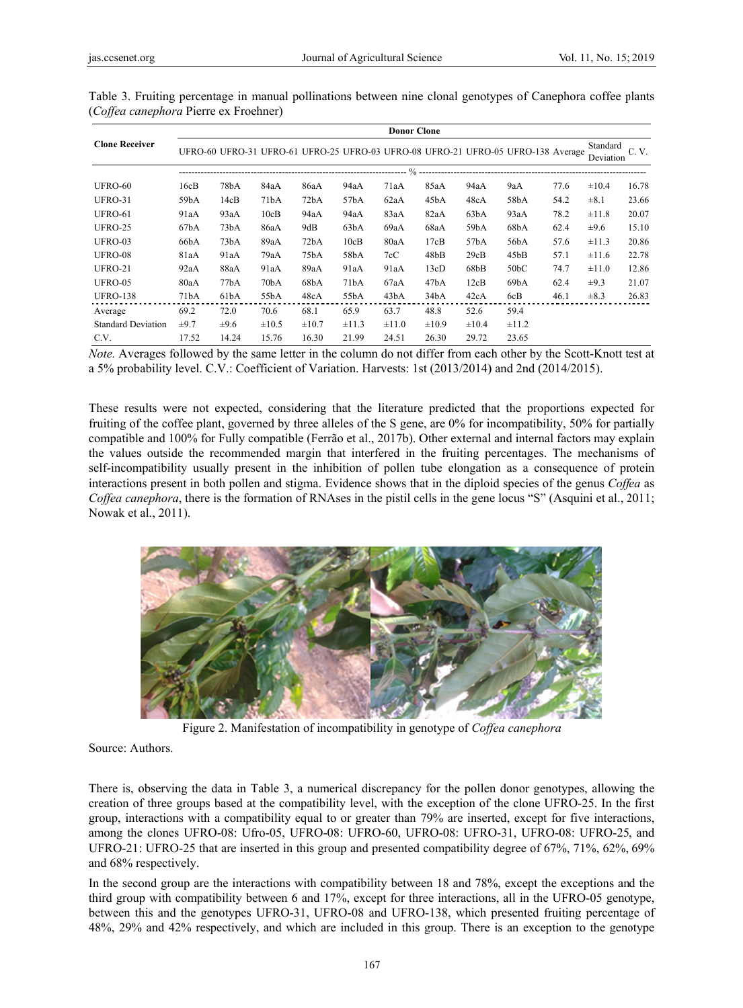|                           | <b>Donor Clone</b> |                   |                                                                                  |            |            |            |                   |            |                   |      |                       |       |
|---------------------------|--------------------|-------------------|----------------------------------------------------------------------------------|------------|------------|------------|-------------------|------------|-------------------|------|-----------------------|-------|
| <b>Clone Receiver</b>     |                    |                   | UFRO-60 UFRO-31 UFRO-61 UFRO-25 UFRO-03 UFRO-08 UFRO-21 UFRO-05 UFRO-138 Average |            |            |            |                   |            |                   |      | Standard<br>Deviation | C.V.  |
|                           |                    |                   |                                                                                  |            |            |            |                   |            |                   |      |                       |       |
| UFRO-60                   | 16cB               | 78 <sub>b</sub> A | 84aA                                                                             | 86aA       | 94aA       | 71aA       | 85aA              | 94aA       | 9aA               | 77.6 | $\pm 10.4$            | 16.78 |
| UFRO-31                   | 59bA               | 14cB              | 71bA                                                                             | 72bA       | 57bA       | 62aA       | 45bA              | 48cA       | 58bA              | 54.2 | $\pm 8.1$             | 23.66 |
| UFRO-61                   | 91aA               | 93aA              | 10cB                                                                             | 94aA       | 94aA       | 83aA       | 82aA              | 63bA       | 93aA              | 78.2 | ±11.8                 | 20.07 |
| UFRO-25                   | 67bA               | 73 <sub>b</sub> A | 86aA                                                                             | 9dB        | 63bA       | 69aA       | 68aA              | 59bA       | 68bA              | 62.4 | $\pm 9.6$             | 15.10 |
| <b>UFRO-03</b>            | 66bA               | 73 <sub>b</sub> A | 89aA                                                                             | 72bA       | 10cB       | 80aA       | 17cB              | 57bA       | 56bA              | 57.6 | $\pm$ 11.3            | 20.86 |
| UFRO-08                   | 81aA               | 91aA              | 79aA                                                                             | 75bA       | 58bA       | 7cC        | 48bB              | 29cB       | 45bB              | 57.1 | $\pm 11.6$            | 22.78 |
| UFRO-21                   | 92aA               | 88aA              | 91aA                                                                             | 89aA       | 91aA       | 91aA       | 13cD              | 68bB       | 50 <sub>b</sub> C | 74.7 | $\pm 11.0$            | 12.86 |
| <b>UFRO-05</b>            | 80aA               | 77bA              | 70 <sub>b</sub> A                                                                | 68bA       | 71bA       | 67aA       | 47 <sub>b</sub> A | 12cB       | 69bA              | 62.4 | $\pm 9.3$             | 21.07 |
| <b>UFRO-138</b>           | 71bA               | 61bA              | 55bA                                                                             | 48cA       | 55bA       | 43bA       | 34 <sub>b</sub> A | 42cA       | 6cB               | 46.1 | $\pm 8.3$             | 26.83 |
| Average                   | 69.2               | 72.0              | 70.6                                                                             | 68.1       | 65.9       | 63.7       | 48.8              | 52.6       | 59.4              |      |                       |       |
| <b>Standard Deviation</b> | $\pm$ 9.7          | $\pm 9.6$         | $\pm 10.5$                                                                       | $\pm 10.7$ | $\pm$ 11.3 | $\pm 11.0$ | $\pm 10.9$        | $\pm 10.4$ | $\pm 11.2$        |      |                       |       |
| C V                       | 17.52              | 14 24             | 15.76                                                                            | 16.30      | 21.99      | 24.51      | 26.30             | 29.72      | 23.65             |      |                       |       |

Table 3. Fruiting percentage in manual pollinations between nine clonal genotypes of Canephora coffee plants (Coffea canephora Pierre ex Froehner)

Note. Averages followed by the same letter in the column do not differ from each other by the Scott-Knott test at a 5% probability level. C.V.: Coefficient of Variation. Harvests: 1st (2013/2014) and 2nd (2014/2015).

These results were not expected, considering that the literature predicted that the proportions expected for fruiting of the coffee plant, governed by three alleles of the S gene, are 0% for incompatibility, 50% for partially compatible and 100% for Fully compatible (Ferrão et al., 2017b). Other external and internal factors may explain the values outside the recommended margin that interfered in the fruiting percentages. The mechanisms of self-incompatibility usually present in the inhibition of pollen tube elongation as a consequence of protein interactions present in both pollen and stigma. Evidence shows that in the diploid species of the genus Coffea as Coffea canephora, there is the formation of RNAses in the pistil cells in the gene locus "S" (Asquini et al., 2011; Nowak et al., 2011).



Figure 2. Manifestation of incompatibility in genotype of Coffea canephora

Source: Authors.

There is, observing the data in Table 3, a numerical discrepancy for the pollen donor genotypes, allowing the creation of three groups based at the compatibility level, with the exception of the clone UFRO-25. In the first group, interactions with a compatibility equal to or greater than 79% are inserted, except for five interactions, among the clones UFRO-08: Ufro-05, UFRO-08: UFRO-60, UFRO-08: UFRO-31, UFRO-08: UFRO-25, and UFRO-21: UFRO-25 that are inserted in this group and presented compatibility degree of 67%, 71%, 62%, 69% and 68% respectively.

In the second group are the interactions with compatibility between 18 and 78%, except the exceptions and the third group with compatibility between 6 and 17%, except for three interactions, all in the UFRO-05 genotype, between this and the genotypes UFRO-31, UFRO-08 and UFRO-138, which presented fruiting percentage of 48%, 29% and 42% respectively, and which are included in this group. There is an exception to the genotype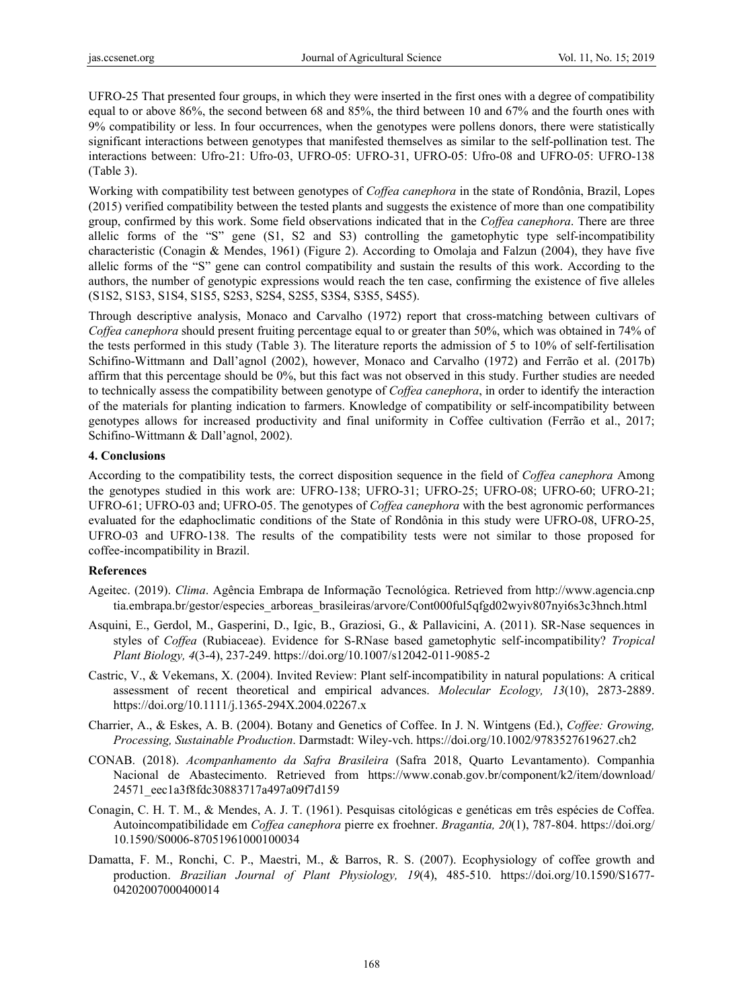UFRO-25 That presented four groups, in which they were inserted in the first ones with a degree of compatibility equal to or above 86%, the second between 68 and 85%, the third between 10 and 67% and the fourth ones with 9% compatibility or less. In four occurrences, when the genotypes were pollens donors, there were statistically significant interactions between genotypes that manifested themselves as similar to the self-pollination test. The interactions between: Ufro-21: Ufro-03, UFRO-05: UFRO-31, UFRO-05: Ufro-08 and UFRO-05: UFRO-138 (Table 3).

Working with compatibility test between genotypes of *Coffea canephora* in the state of Rondônia, Brazil, Lopes (2015) verified compatibility between the tested plants and suggests the existence of more than one compatibility group, confirmed by this work. Some field observations indicated that in the *Coffea canephora*. There are three allelic forms of the "S" gene (S1, S2 and S3) controlling the gametophytic type self-incompatibility characteristic (Conagin & Mendes, 1961) (Figure 2). According to Omolaja and Falzun (2004), they have five allelic forms of the "S" gene can control compatibility and sustain the results of this work. According to the authors, the number of genotypic expressions would reach the ten case, confirming the existence of five alleles (S1S2, S1S3, S1S4, S1S5, S2S3, S2S4, S2S5, S3S4, S3S5, S4S5).

Through descriptive analysis, Monaco and Carvalho (1972) report that cross-matching between cultivars of *Coffea canephora* should present fruiting percentage equal to or greater than 50%, which was obtained in 74% of the tests performed in this study (Table 3). The literature reports the admission of 5 to 10% of self-fertilisation Schifino-Wittmann and Dall'agnol (2002), however, Monaco and Carvalho (1972) and Ferrão et al. (2017b) affirm that this percentage should be 0%, but this fact was not observed in this study. Further studies are needed to technically assess the compatibility between genotype of *Coffea canephora*, in order to identify the interaction of the materials for planting indication to farmers. Knowledge of compatibility or self-incompatibility between genotypes allows for increased productivity and final uniformity in Coffee cultivation (Ferrão et al., 2017; Schifino-Wittmann & Dall'agnol, 2002).

## **4. Conclusions**

According to the compatibility tests, the correct disposition sequence in the field of *Coffea canephora* Among the genotypes studied in this work are: UFRO-138; UFRO-31; UFRO-25; UFRO-08; UFRO-60; UFRO-21; UFRO-61; UFRO-03 and; UFRO-05. The genotypes of *Coffea canephora* with the best agronomic performances evaluated for the edaphoclimatic conditions of the State of Rondônia in this study were UFRO-08, UFRO-25, UFRO-03 and UFRO-138. The results of the compatibility tests were not similar to those proposed for coffee-incompatibility in Brazil.

# **References**

- Ageitec. (2019). *Clima*. Agência Embrapa de Informação Tecnológica. Retrieved from http://www.agencia.cnp tia.embrapa.br/gestor/especies\_arboreas\_brasileiras/arvore/Cont000ful5qfgd02wyiv807nyi6s3c3hnch.html
- Asquini, E., Gerdol, M., Gasperini, D., Igic, B., Graziosi, G., & Pallavicini, A. (2011). SR-Nase sequences in styles of *Coffea* (Rubiaceae). Evidence for S-RNase based gametophytic self-incompatibility? *Tropical Plant Biology, 4*(3-4), 237-249. https://doi.org/10.1007/s12042-011-9085-2
- Castric, V., & Vekemans, X. (2004). Invited Review: Plant self-incompatibility in natural populations: A critical assessment of recent theoretical and empirical advances. *Molecular Ecology, 13*(10), 2873-2889. https://doi.org/10.1111/j.1365-294X.2004.02267.x
- Charrier, A., & Eskes, A. B. (2004). Botany and Genetics of Coffee. In J. N. Wintgens (Ed.), *Coffee: Growing, Processing, Sustainable Production*. Darmstadt: Wiley-vch. https://doi.org/10.1002/9783527619627.ch2
- CONAB. (2018). *Acompanhamento da Safra Brasileira* (Safra 2018, Quarto Levantamento). Companhia Nacional de Abastecimento. Retrieved from https://www.conab.gov.br/component/k2/item/download/ 24571\_eec1a3f8fdc30883717a497a09f7d159
- Conagin, C. H. T. M., & Mendes, A. J. T. (1961). Pesquisas citológicas e genéticas em três espécies de Coffea. Autoincompatibilidade em *Coffea canephora* pierre ex froehner. *Bragantia, 20*(1), 787-804. https://doi.org/ 10.1590/S0006-87051961000100034
- Damatta, F. M., Ronchi, C. P., Maestri, M., & Barros, R. S. (2007). Ecophysiology of coffee growth and production. *Brazilian Journal of Plant Physiology, 19*(4), 485-510. https://doi.org/10.1590/S1677- 04202007000400014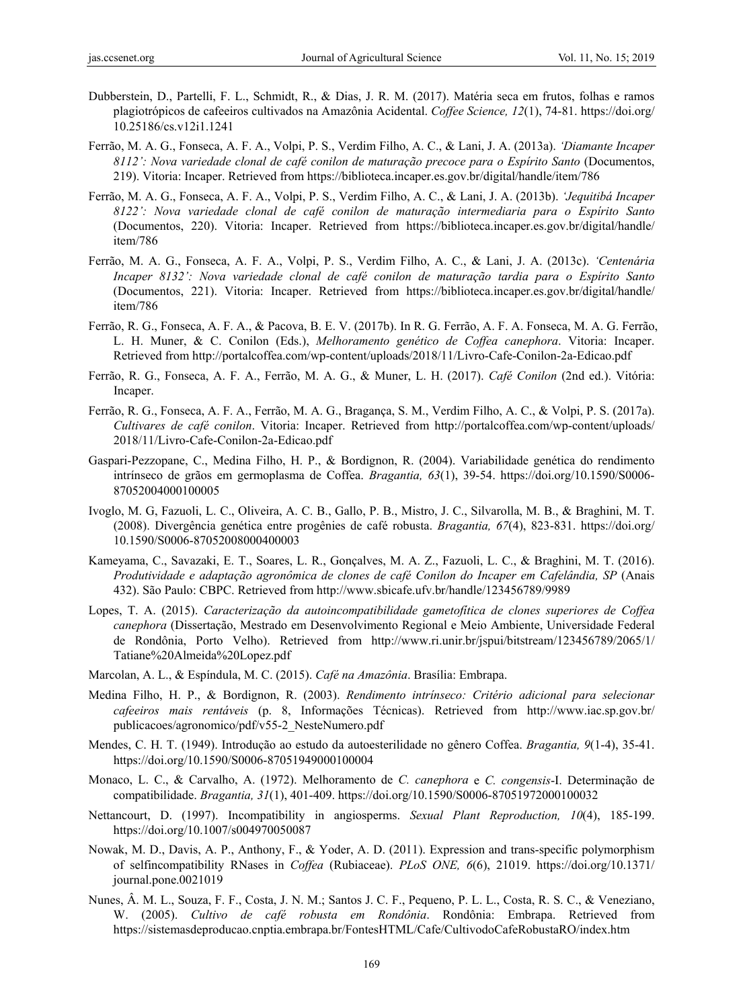- Dubberstein, D., Partelli, F. L., Schmidt, R., & Dias, J. R. M. (2017). Matéria seca em frutos, folhas e ramos plagiotrópicos de cafeeiros cultivados na Amazônia Acidental. *Coffee Science, 12*(1), 74-81. https://doi.org/ 10.25186/cs.v12i1.1241
- Ferrão, M. A. G., Fonseca, A. F. A., Volpi, P. S., Verdim Filho, A. C., & Lani, J. A. (2013a). *'Diamante Incaper 8112': Nova variedade clonal de café conilon de maturação precoce para o Espírito Santo* (Documentos, 219). Vitoria: Incaper. Retrieved from https://biblioteca.incaper.es.gov.br/digital/handle/item/786
- Ferrão, M. A. G., Fonseca, A. F. A., Volpi, P. S., Verdim Filho, A. C., & Lani, J. A. (2013b). *'Jequitibá Incaper 8122': Nova variedade clonal de café conilon de maturação intermediaria para o Espírito Santo* (Documentos, 220). Vitoria: Incaper. Retrieved from https://biblioteca.incaper.es.gov.br/digital/handle/ item/786
- Ferrão, M. A. G., Fonseca, A. F. A., Volpi, P. S., Verdim Filho, A. C., & Lani, J. A. (2013c). *'Centenária Incaper 8132': Nova variedade clonal de café conilon de maturação tardia para o Espírito Santo*  (Documentos, 221). Vitoria: Incaper. Retrieved from https://biblioteca.incaper.es.gov.br/digital/handle/ item/786
- Ferrão, R. G., Fonseca, A. F. A., & Pacova, B. E. V. (2017b). In R. G. Ferrão, A. F. A. Fonseca, M. A. G. Ferrão, L. H. Muner, & C. Conilon (Eds.), *Melhoramento genético de Coffea canephora*. Vitoria: Incaper. Retrieved from http://portalcoffea.com/wp-content/uploads/2018/11/Livro-Cafe-Conilon-2a-Edicao.pdf
- Ferrão, R. G., Fonseca, A. F. A., Ferrão, M. A. G., & Muner, L. H. (2017). *Café Conilon* (2nd ed.). Vitória: Incaper.
- Ferrão, R. G., Fonseca, A. F. A., Ferrão, M. A. G., Bragança, S. M., Verdim Filho, A. C., & Volpi, P. S. (2017a). *Cultivares de café conilon*. Vitoria: Incaper. Retrieved from http://portalcoffea.com/wp-content/uploads/ 2018/11/Livro-Cafe-Conilon-2a-Edicao.pdf
- Gaspari-Pezzopane, C., Medina Filho, H. P., & Bordignon, R. (2004). Variabilidade genética do rendimento intrínseco de grãos em germoplasma de Coffea. *Bragantia, 63*(1), 39-54. https://doi.org/10.1590/S0006- 87052004000100005
- Ivoglo, M. G, Fazuoli, L. C., Oliveira, A. C. B., Gallo, P. B., Mistro, J. C., Silvarolla, M. B., & Braghini, M. T. (2008). Divergência genética entre progênies de café robusta. *Bragantia, 67*(4), 823-831. https://doi.org/ 10.1590/S0006-87052008000400003
- Kameyama, C., Savazaki, E. T., Soares, L. R., Gonçalves, M. A. Z., Fazuoli, L. C., & Braghini, M. T. (2016). *Produtividade e adaptação agronômica de clones de café Conilon do Incaper em Cafelândia, SP* (Anais 432). São Paulo: CBPC. Retrieved from http://www.sbicafe.ufv.br/handle/123456789/9989
- Lopes, T. A. (2015). *Caracterização da autoincompatibilidade gametofítica de clones superiores de Coffea canephora* (Dissertação, Mestrado em Desenvolvimento Regional e Meio Ambiente, Universidade Federal de Rondônia, Porto Velho). Retrieved from http://www.ri.unir.br/jspui/bitstream/123456789/2065/1/ Tatiane%20Almeida%20Lopez.pdf
- Marcolan, A. L., & Espíndula, M. C. (2015). *Café na Amazônia*. Brasília: Embrapa.
- Medina Filho, H. P., & Bordignon, R. (2003). *Rendimento intrínseco: Critério adicional para selecionar cafeeiros mais rentáveis* (p. 8, Informações Técnicas). Retrieved from http://www.iac.sp.gov.br/ publicacoes/agronomico/pdf/v55-2\_NesteNumero.pdf
- Mendes, C. H. T. (1949). Introdução ao estudo da autoesterilidade no gênero Coffea. *Bragantia, 9*(1-4), 35-41. https://doi.org/10.1590/S0006-87051949000100004
- Monaco, L. C., & Carvalho, A. (1972). Melhoramento de *C. canephora* e *C. congensis*-I. Determinação de compatibilidade. *Bragantia, 31*(1), 401-409. https://doi.org/10.1590/S0006-87051972000100032
- Nettancourt, D. (1997). Incompatibility in angiosperms. *Sexual Plant Reproduction, 10*(4), 185-199. https://doi.org/10.1007/s004970050087
- Nowak, M. D., Davis, A. P., Anthony, F., & Yoder, A. D. (2011). Expression and trans-specific polymorphism of selfincompatibility RNases in *Coffea* (Rubiaceae). *PLoS ONE, 6*(6), 21019. https://doi.org/10.1371/ journal.pone.0021019
- Nunes, Â. M. L., Souza, F. F., Costa, J. N. M.; Santos J. C. F., Pequeno, P. L. L., Costa, R. S. C., & Veneziano, W. (2005). *Cultivo de café robusta em Rondônia*. Rondônia: Embrapa. Retrieved from https://sistemasdeproducao.cnptia.embrapa.br/FontesHTML/Cafe/CultivodoCafeRobustaRO/index.htm